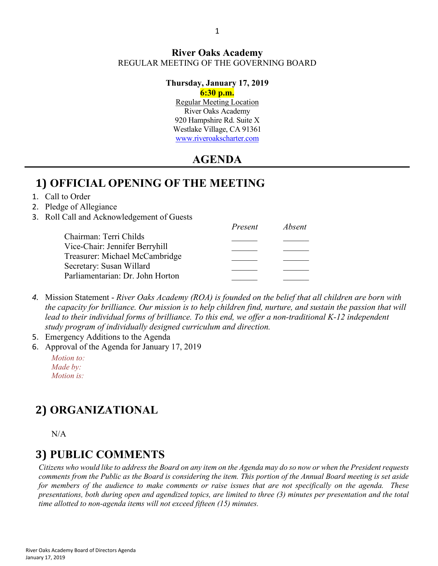#### **River Oaks Academy** REGULAR MEETING OF THE GOVERNING BOARD

#### **Thursday, January 17, 2019**

#### **6:30 p.m.**

Regular Meeting Location River Oaks Academy 920 Hampshire Rd. Suite X Westlake Village, CA 91361 [www.riveroakscharter.com](http://www.riveroakscharter.com/)

#### **AGENDA**

#### **1) OFFICIAL OPENING OF THE MEETING**

1. Call to Order

#### 2. Pledge of Allegiance

3. Roll Call and Acknowledgement of Guests

|                                  | Present | Absent |
|----------------------------------|---------|--------|
| Chairman: Terri Childs           |         |        |
| Vice-Chair: Jennifer Berryhill   |         |        |
| Treasurer: Michael McCambridge   |         |        |
| Secretary: Susan Willard         |         |        |
| Parliamentarian: Dr. John Horton |         |        |
|                                  |         |        |

- *4.* Mission Statement *River Oaks Academy (ROA) is founded on the belief that all children are born with the capacity for brilliance. Our mission is to help children find, nurture, and sustain the passion that will*  lead to their individual forms of brilliance. To this end, we offer a non-traditional K-12 independent *study program of individually designed curriculum and direction.*
- 5. Emergency Additions to the Agenda
- 6. Approval of the Agenda for January 17, 2019
	- *Motion to: Made by: Motion is:*

# **2) ORGANIZATIONAL**

N/A

#### **3) PUBLIC COMMENTS**

*Citizens who would like to address the Board on any item on the Agenda may do so now or when the President requests comments from the Public as the Board is considering the item. This portion of the Annual Board meeting is set aside for members of the audience to make comments or raise issues that are not specifically on the agenda. These presentations, both during open and agendized topics, are limited to three (3) minutes per presentation and the total time allotted to non-agenda items will not exceed fifteen (15) minutes.*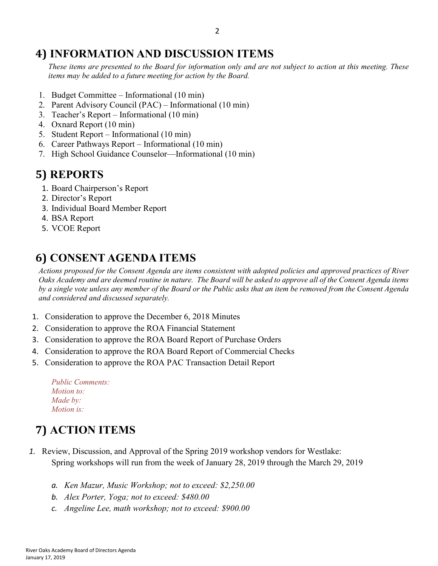#### **4) INFORMATION AND DISCUSSION ITEMS**

*These items are presented to the Board for information only and are not subject to action at this meeting. These items may be added to a future meeting for action by the Board.*

- 1. Budget Committee Informational (10 min)
- 2. Parent Advisory Council (PAC) Informational (10 min)
- 3. Teacher's Report Informational (10 min)
- 4. Oxnard Report (10 min)
- 5. Student Report Informational (10 min)
- 6. Career Pathways Report Informational (10 min)
- 7. High School Guidance Counselor—Informational (10 min)

### **5) REPORTS**

- 1. Board Chairperson's Report
- 2. Director's Report
- 3. Individual Board Member Report
- 4. BSA Report
- 5. VCOE Report

## **6) CONSENT AGENDA ITEMS**

*Actions proposed for the Consent Agenda are items consistent with adopted policies and approved practices of River Oaks Academy and are deemed routine in nature. The Board will be asked to approve all of the Consent Agenda items by a single vote unless any member of the Board or the Public asks that an item be removed from the Consent Agenda and considered and discussed separately.*

- 1. Consideration to approve the December 6, 2018 Minutes
- 2. Consideration to approve the ROA Financial Statement
- 3. Consideration to approve the ROA Board Report of Purchase Orders
- 4. Consideration to approve the ROA Board Report of Commercial Checks
- 5. Consideration to approve the ROA PAC Transaction Detail Report

| <b>Public Comments:</b> |  |
|-------------------------|--|
| <i>Motion to:</i>       |  |
| Made by:                |  |
| <i>Motion is:</i>       |  |

## **7) ACTION ITEMS**

- *1.* Review, Discussion, and Approval of the Spring 2019 workshop vendors for Westlake: Spring workshops will run from the week of January 28, 2019 through the March 29, 2019
	- *a. Ken Mazur, Music Workshop; not to exceed: \$2,250.00*
	- *b. Alex Porter, Yoga; not to exceed: \$480.00*
	- *c. Angeline Lee, math workshop; not to exceed: \$900.00*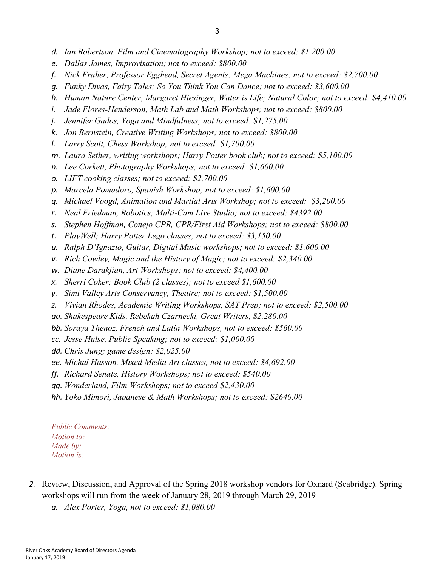- *d. Ian Robertson, Film and Cinematography Workshop; not to exceed: \$1,200.00*
- *e. Dallas James, Improvisation; not to exceed: \$800.00*
- *f. Nick Fraher, Professor Egghead, Secret Agents; Mega Machines; not to exceed: \$2,700.00*
- *g. Funky Divas, Fairy Tales; So You Think You Can Dance; not to exceed: \$3,600.00*
- *h. Human Nature Center, Margaret Hiesinger, Water is Life; Natural Color; not to exceed: \$4,410.00*
- *i. Jade Flores-Henderson, Math Lab and Math Workshops; not to exceed: \$800.00*
- *j. Jennifer Gados, Yoga and Mindfulness; not to exceed: \$1,275.00*
- *k. Jon Bernstein, Creative Writing Workshops; not to exceed: \$800.00*
- *l. Larry Scott, Chess Workshop; not to exceed: \$1,700.00*
- *m. Laura Sether, writing workshops; Harry Potter book club; not to exceed: \$5,100.00*
- *n. Lee Corkett, Photography Workshops; not to exceed: \$1,600.00*
- *o. LIFT cooking classes; not to exceed: \$2,700.00*
- *p. Marcela Pomadoro, Spanish Workshop; not to exceed: \$1,600.00*
- *q. Michael Voogd, Animation and Martial Arts Workshop; not to exceed: \$3,200.00*
- *r. Neal Friedman, Robotics; Multi-Cam Live Studio; not to exceed: \$4392.00*
- *s. Stephen Hoffman, Conejo CPR, CPR/First Aid Workshops; not to exceed: \$800.00*
- *t. PlayWell; Harry Potter Lego classes; not to exceed: \$3,150.00*
- *u. Ralph D'Ignazio, Guitar, Digital Music workshops; not to exceed: \$1,600.00*
- *v. Rich Cowley, Magic and the History of Magic; not to exceed: \$2,340.00*
- *w. Diane Darakjian, Art Workshops; not to exceed: \$4,400.00*
- *x. Sherri Coker; Book Club (2 classes); not to exceed \$1,600.00*
- *y. Simi Valley Arts Conservancy, Theatre; not to exceed: \$1,500.00*
- *z. Vivian Rhodes, Academic Writing Workshops, SAT Prep; not to exceed: \$2,500.00*
- *aa. Shakespeare Kids, Rebekah Czarnecki, Great Writers, \$2,280.00*
- *bb. Soraya Thenoz, French and Latin Workshops, not to exceed: \$560.00*
- *cc. Jesse Hulse, Public Speaking; not to exceed: \$1,000.00*
- *dd. Chris Jung; game design: \$2,025.00*
- *ee. Michal Hasson, Mixed Media Art classes, not to exceed: \$4,692.00*
- *ff. Richard Senate, History Workshops; not to exceed: \$540.00*
- *gg. Wonderland, Film Workshops; not to exceed \$2,430.00*
- *hh. Yoko Mimori, Japanese & Math Workshops; not to exceed: \$2640.00*

*Public Comments: Motion to: Made by: Motion is:*

- *2.* Review, Discussion, and Approval of the Spring 2018 workshop vendors for Oxnard (Seabridge). Spring workshops will run from the week of January 28, 2019 through March 29, 2019
	- *a. Alex Porter, Yoga, not to exceed: \$1,080.00*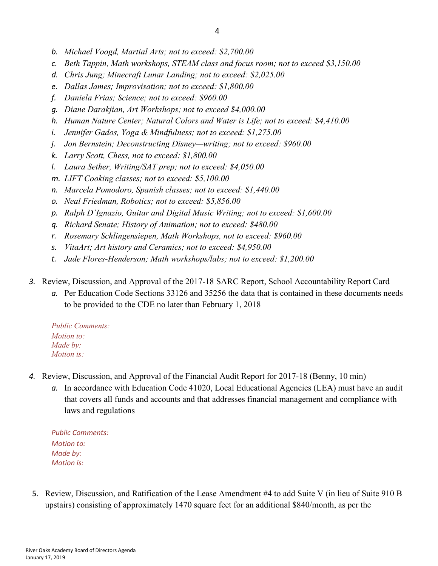- *b. Michael Voogd, Martial Arts; not to exceed: \$2,700.00*
- *c. Beth Tappin, Math workshops, STEAM class and focus room; not to exceed \$3,150.00*
- *d. Chris Jung; Minecraft Lunar Landing; not to exceed: \$2,025.00*
- *e. Dallas James; Improvisation; not to exceed: \$1,800.00*
- *f. Daniela Frias; Science; not to exceed: \$960.00*
- *g. Diane Darakjian, Art Workshops; not to exceed \$4,000.00*
- *h. Human Nature Center; Natural Colors and Water is Life; not to exceed: \$4,410.00*
- *i. Jennifer Gados, Yoga & Mindfulness; not to exceed: \$1,275.00*
- *j. Jon Bernstein; Deconstructing Disney—writing; not to exceed: \$960.00*
- *k. Larry Scott, Chess, not to exceed: \$1,800.00*
- *l. Laura Sether, Writing/SAT prep; not to exceed: \$4,050.00*
- *m. LIFT Cooking classes; not to exceed: \$5,100.00*
- *n. Marcela Pomodoro, Spanish classes; not to exceed: \$1,440.00*
- *o. Neal Friedman, Robotics; not to exceed: \$5,856.00*
- *p. Ralph D'Ignazio, Guitar and Digital Music Writing; not to exceed: \$1,600.00*
- *q. Richard Senate; History of Animation; not to exceed: \$480.00*
- *r. Rosemary Schlingensiepen, Math Workshops, not to exceed: \$960.00*
- *s. VitaArt; Art history and Ceramics; not to exceed: \$4,950.00*
- *t. Jade Flores-Henderson; Math workshops/labs; not to exceed: \$1,200.00*
- *3.* Review, Discussion, and Approval of the 2017-18 SARC Report, School Accountability Report Card
	- *a.* Per Education Code Sections 33126 and 35256 the data that is contained in these documents needs to be provided to the CDE no later than February 1, 2018

*Public Comments: Motion to: Made by: Motion is:*

- *4.* Review, Discussion, and Approval of the Financial Audit Report for 2017-18 (Benny, 10 min)
	- *a.* In accordance with Education Code 41020, Local Educational Agencies (LEA) must have an audit that covers all funds and accounts and that addresses financial management and compliance with laws and regulations

*Public Comments: Motion to: Made by: Motion is:*

5. Review, Discussion, and Ratification of the Lease Amendment #4 to add Suite V (in lieu of Suite 910 B upstairs) consisting of approximately 1470 square feet for an additional \$840/month, as per the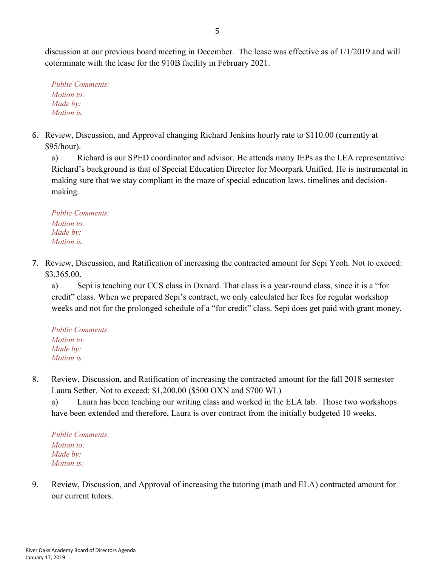discussion at our previous board meeting in December. The lease was effective as of 1/1/2019 and will coterminate with the lease for the 910B facility in February 2021.

*Public Comments: Motion to: Made by: Motion is:*

6. Review, Discussion, and Approval changing Richard Jenkins hourly rate to \$110.00 (currently at \$95/hour).

a) Richard is our SPED coordinator and advisor. He attends many IEPs as the LEA representative. Richard's background is that of Special Education Director for Moorpark Unified. He is instrumental in making sure that we stay compliant in the maze of special education laws, timelines and decisionmaking.

*Public Comments: Motion to: Made by: Motion is:*

7. Review, Discussion, and Ratification of increasing the contracted amount for Sepi Yeoh. Not to exceed: \$3,365.00.

a) Sepi is teaching our CCS class in Oxnard. That class is a year-round class, since it is a "for credit" class. When we prepared Sepi's contract, we only calculated her fees for regular workshop weeks and not for the prolonged schedule of a "for credit" class. Sepi does get paid with grant money.

*Public Comments: Motion to: Made by: Motion is:*

8. Review, Discussion, and Ratification of increasing the contracted amount for the fall 2018 semester Laura Sether. Not to exceed: \$1,200.00 (\$500 OXN and \$700 WL)

a) Laura has been teaching our writing class and worked in the ELA lab. Those two workshops have been extended and therefore, Laura is over contract from the initially budgeted 10 weeks.

*Public Comments: Motion to: Made by: Motion is:*

9. Review, Discussion, and Approval of increasing the tutoring (math and ELA) contracted amount for our current tutors.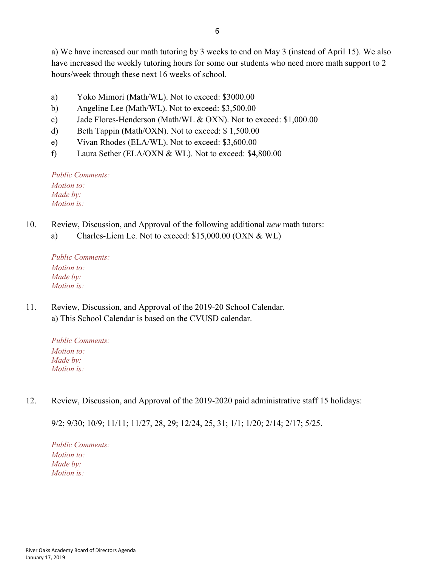a) We have increased our math tutoring by 3 weeks to end on May 3 (instead of April 15). We also have increased the weekly tutoring hours for some our students who need more math support to 2 hours/week through these next 16 weeks of school.

- a) Yoko Mimori (Math/WL). Not to exceed: \$3000.00
- b) Angeline Lee (Math/WL). Not to exceed: \$3,500.00
- c) Jade Flores-Henderson (Math/WL & OXN). Not to exceed: \$1,000.00
- d) Beth Tappin (Math/OXN). Not to exceed: \$ 1,500.00
- e) Vivan Rhodes (ELA/WL). Not to exceed: \$3,600.00
- f) Laura Sether (ELA/OXN & WL). Not to exceed: \$4,800.00

*Public Comments: Motion to: Made by: Motion is:*

- 10. Review, Discussion, and Approval of the following additional *new* math tutors:
	- a) Charles-Liem Le. Not to exceed: \$15,000.00 (OXN & WL)

*Public Comments: Motion to: Made by: Motion is:*

11. Review, Discussion, and Approval of the 2019-20 School Calendar. a) This School Calendar is based on the CVUSD calendar.

*Public Comments: Motion to: Made by: Motion is:*

12. Review, Discussion, and Approval of the 2019-2020 paid administrative staff 15 holidays:

9/2; 9/30; 10/9; 11/11; 11/27, 28, 29; 12/24, 25, 31; 1/1; 1/20; 2/14; 2/17; 5/25.

*Public Comments: Motion to: Made by: Motion is:*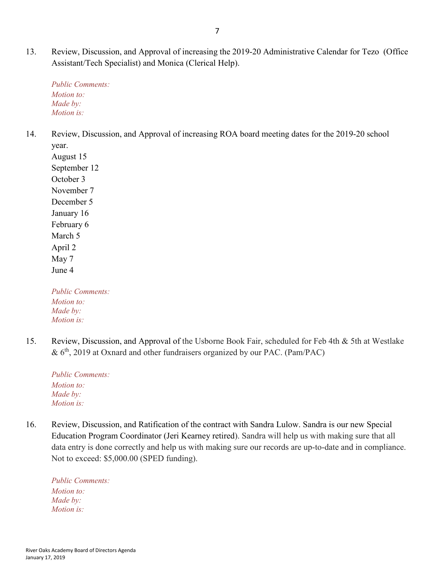13. Review, Discussion, and Approval of increasing the 2019-20 Administrative Calendar for Tezo (Office Assistant/Tech Specialist) and Monica (Clerical Help).

*Public Comments: Motion to: Made by: Motion is:*

14. Review, Discussion, and Approval of increasing ROA board meeting dates for the 2019-20 school year.

August 15 September 12 October 3 November 7 December 5 January 16 February 6 March 5 April 2 May 7 June 4

*Public Comments: Motion to: Made by: Motion is:*

15. Review, Discussion, and Approval of the Usborne Book Fair, scheduled for Feb 4th & 5th at Westlake  $& 6<sup>th</sup>, 2019$  at Oxnard and other fundraisers organized by our PAC. (Pam/PAC)

*Public Comments: Motion to: Made by: Motion is:*

16. Review, Discussion, and Ratification of the contract with Sandra Lulow. Sandra is our new Special Education Program Coordinator (Jeri Kearney retired). Sandra will help us with making sure that all data entry is done correctly and help us with making sure our records are up-to-date and in compliance. Not to exceed: \$5,000.00 (SPED funding).

*Public Comments: Motion to: Made by: Motion is:*